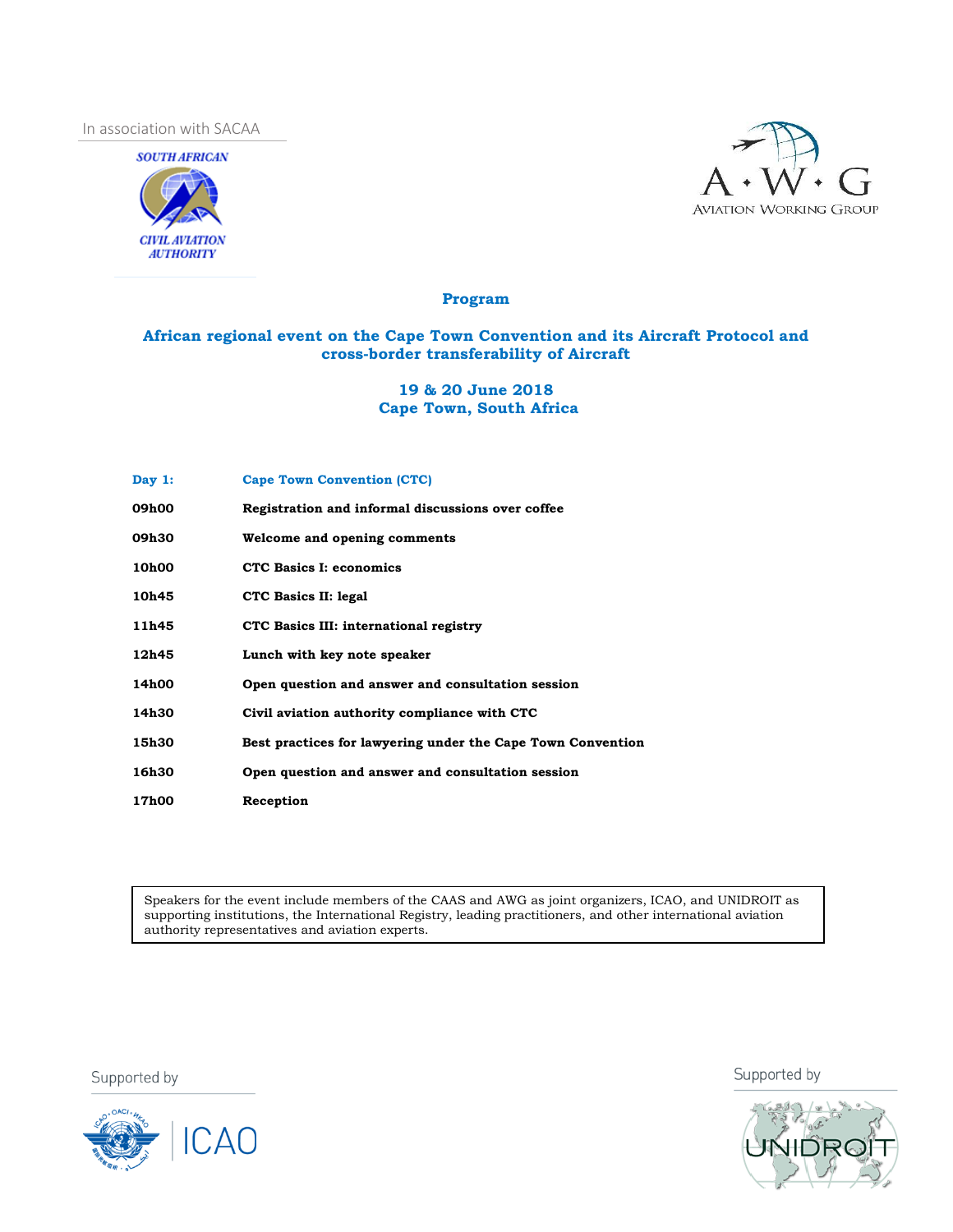In association with SACAA





## **Program**

## **African regional event on the Cape Town Convention and its Aircraft Protocol and cross-border transferability of Aircraft**

## **19 & 20 June 2018 Cape Town, South Africa**

| Day $1:$     | <b>Cape Town Convention (CTC)</b>                           |
|--------------|-------------------------------------------------------------|
| 09h00        | Registration and informal discussions over coffee           |
| 09h30        | Welcome and opening comments                                |
| 10h00        | <b>CTC Basics I: economics</b>                              |
| 10h45        | CTC Basics II: legal                                        |
| 11h45        | CTC Basics III: international registry                      |
| 12h45        | Lunch with key note speaker                                 |
| 14h00        | Open question and answer and consultation session           |
| 14h30        | Civil aviation authority compliance with CTC                |
| 15h30        | Best practices for lawyering under the Cape Town Convention |
| 16h30        | Open question and answer and consultation session           |
| <b>17h00</b> | Reception                                                   |

Speakers for the event include members of the CAAS and AWG as joint organizers, ICAO, and UNIDROIT as supporting institutions, the International Registry, leading practitioners, and other international aviation authority representatives and aviation experts.

Supported by



Supported by